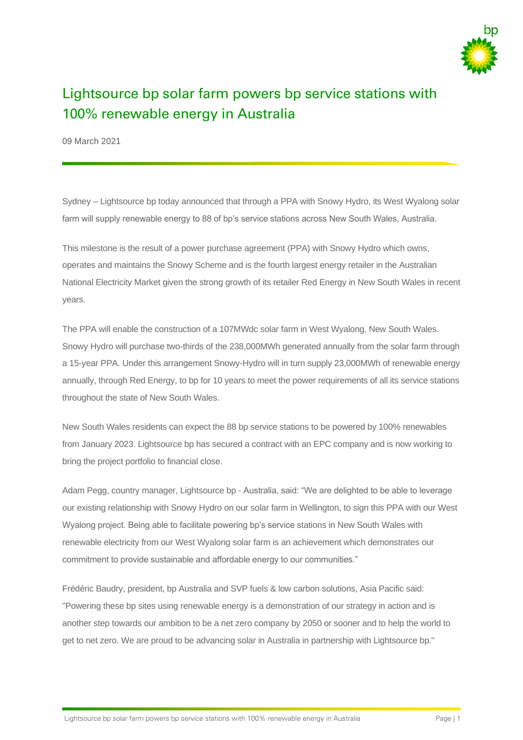

# Lightsource bp solar farm powers bp service stations with 100% renewable energy in Australia

09 March 2021

Sydney – Lightsource bp today announced that through a PPA with Snowy Hydro, its West Wyalong solar farm will supply renewable energy to 88 of bp's service stations across New South Wales, Australia.

This milestone is the result of a power purchase agreement (PPA) with Snowy Hydro which owns, operates and maintains the Snowy Scheme and is the fourth largest energy retailer in the Australian National Electricity Market given the strong growth of its retailer Red Energy in New South Wales in recent years.

The PPA will enable the construction of a 107MWdc solar farm in West Wyalong, New South Wales. Snowy Hydro will purchase two-thirds of the 238,000MWh generated annually from the solar farm through a 15-year PPA. Under this arrangement Snowy-Hydro will in turn supply 23,000MWh of renewable energy annually, through Red Energy, to bp for 10 years to meet the power requirements of all its service stations throughout the state of New South Wales.

New South Wales residents can expect the 88 bp service stations to be powered by 100% renewables from January 2023. Lightsource bp has secured a contract with an EPC company and is now working to bring the project portfolio to financial close.

Adam Pegg, country manager, Lightsource bp - Australia, said: "We are delighted to be able to leverage our existing relationship with Snowy Hydro on our solar farm in Wellington, to sign this PPA with our West Wyalong project. Being able to facilitate powering bp's service stations in New South Wales with renewable electricity from our West Wyalong solar farm is an achievement which demonstrates our commitment to provide sustainable and affordable energy to our communities."

Frédéric Baudry, president, bp Australia and SVP fuels & low carbon solutions, Asia Pacific said: "Powering these bp sites using renewable energy is a demonstration of our strategy in action and is another step towards our ambition to be a net zero company by 2050 or sooner and to help the world to get to net zero. We are proud to be advancing solar in Australia in partnership with Lightsource bp."